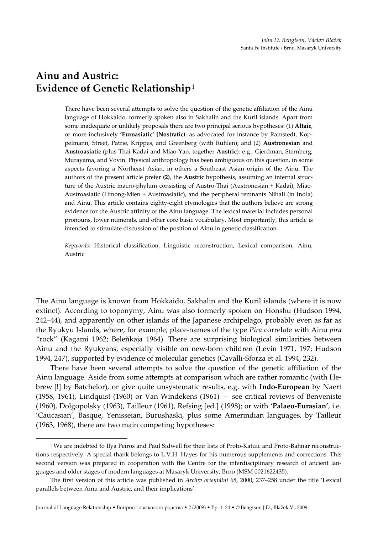# Ainu and Austric: Evidence of Genetic Relationship $^1$

There have been several attempts to solve the question of the genetic affiliation of the Ainu language of Hokkaido, formerly spoken also in Sakhalin and the Kuril islands. Apart from some inadequate or unlikely proposals there are two principal serious hypotheses: (1) Altaic, or more inclusively 'Euroasiatic' (Nostratic), as advocated for instance by Ramstedt, Koppelmann, Street, Patrie, Krippes, and Greenberg (with Ruhlen); and (2) Austronesian and Austroasiatic (plus Thai-Kadai and Miao-Yao, together Austric): e.g., Gjerdman, Sternberg, Murayama, and Vovin. Physical anthropology has been ambiguous on this question, in some aspects favoring a Northeast Asian, in others a Southeast Asian origin of the Ainu. The authors of the present article prefer (2), the Austric hypothesis, assuming an internal structure of the Austric macro-phylum consisting of Austro-Thai (Austronesian + Kadai), Miao-Austroasiatic (Hmong-Mien + Austroasiatic), and the peripheral remnants Nihali (in India) and Ainu. This article contains eighty-eight etymologies that the authors believe are strong evidence for the Austric affinity of the Ainu language. The lexical material includes personal pronouns, lower numerals, and other core basic vocabulary. Most importantly, this article is intended to stimulate discussion of the position of Ainu in genetic classification.

Keywords: Historical classification, Linguistic reconstruction, Lexical comparison, Ainu, Austric

The Ainu language is known from Hokkaido, Sakhalin and the Kuril islands (where it is now extinct). According to toponymy, Ainu was also formerly spoken on Honshu (Hudson 1994, 242–44), and apparently on other islands of the Japanese archipelago, probably even as far as the Ryukyu Islands, where, for example, place-names of the type Pira correlate with Ainu pira "rock" (Kagami 1962; Beleňkaja 1964). There are surprising biological similarities between Ainu and the Ryukyans, especially visible on new-born children (Levin 1971, 197; Hudson 1994, 247), supported by evidence of molecular genetics (Cavalli-Sforza et al. 1994, 232).

There have been several attempts to solve the question of the genetic affiliation of the Ainu language. Aside from some attempts at comparison which are rather romantic (with Hebrew [!] by Batchelor), or give quite unsystematic results, e.g. with Indo-European by Naert (1958, 1961), Lindquist (1960) or Van Windekens (1961) — see critical reviews of Benveniste (1960), Dolgopolsky (1963), Tailleur (1961), Refsing [ed.] (1998); or with 'Palaeo-Eurasian', i.e. 'Caucasian', Basque, Yenisseian, Burushaski, plus some Amerindian languages, by Tailleur (1963, 1968), there are two main competing hypotheses:

Journal of Language Relationship • Вопросы языкового родства • 2 (2009) • Pp. 1–24 • © Bengtson J.D., Blažek V., 2009

<sup>1</sup> We are indebted to Ilya Peiros and Paul Sidwell for their lists of Proto-Katuic and Proto-Bahnar reconstructions respectively. A special thank belongs to L.V.H. Hayes for his numerous supplements and corrections. This second version was prepared in cooperation with the Centre for the interdisciplinary research of ancient languages and older stages of modern languages at Masaryk University, Brno (MSM 0021622435).

The first version of this article was published in Archiv orientální 68, 2000, 237–258 under the title 'Lexical parallels between Ainu and Austric, and their implications'.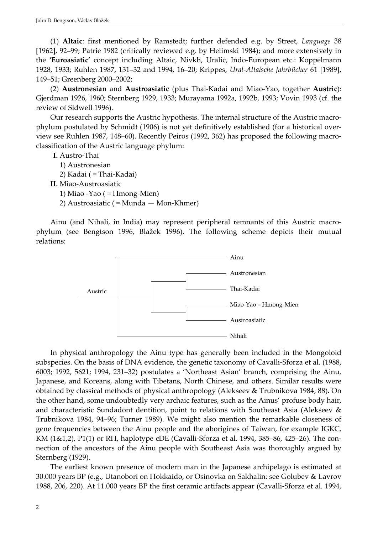(1) Altaic: first mentioned by Ramstedt; further defended e.g. by Street, Language 38 [1962], 92–99; Patrie 1982 (critically reviewed e.g. by Helimski 1984); and more extensively in the 'Euroasiatic' concept including Altaic, Nivkh, Uralic, Indo-European etc.: Koppelmann 1928, 1933; Ruhlen 1987, 131–32 and 1994, 16–20; Krippes, Ural-Altaische Jahrbücher 61 [1989], 149–51; Greenberg 2000–2002;

(2) Austronesian and Austroasiatic (plus Thai-Kadai and Miao-Yao, together Austric): Gjerdman 1926, 1960; Sternberg 1929, 1933; Murayama 1992a, 1992b, 1993; Vovin 1993 (cf. the review of Sidwell 1996).

Our research supports the Austric hypothesis. The internal structure of the Austric macrophylum postulated by Schmidt (1906) is not yet definitively established (for a historical overview see Ruhlen 1987, 148–60). Recently Peiros (1992, 362) has proposed the following macroclassification of the Austric language phylum:

I. Austro-Thai

- 1) Austronesian
- 2) Kadai ( = Thai-Kadai)
- II. Miao-Austroasiatic
	- 1) Miao -Yao ( $=$  Hmong-Mien)
	- 2) Austroasiatic ( = Munda  $-$  Mon-Khmer)

Ainu (and Nihali, in India) may represent peripheral remnants of this Austric macrophylum (see Bengtson 1996, Blažek 1996). The following scheme depicts their mutual relations:



In physical anthropology the Ainu type has generally been included in the Mongoloid subspecies. On the basis of DNA evidence, the genetic taxonomy of Cavalli-Sforza et al. (1988, 6003; 1992, 5621; 1994, 231–32) postulates a 'Northeast Asian' branch, comprising the Ainu, Japanese, and Koreans, along with Tibetans, North Chinese, and others. Similar results were obtained by classical methods of physical anthropology (Alekseev & Trubnikova 1984, 88). On the other hand, some undoubtedly very archaic features, such as the Ainus' profuse body hair, and characteristic Sundadont dentition, point to relations with Southeast Asia (Alekseev & Trubnikova 1984, 94–96; Turner 1989). We might also mention the remarkable closeness of gene frequencies between the Ainu people and the aborigines of Taiwan, for example IGKC, KM (1&1,2), P1(1) or RH, haplotype cDE (Cavalli-Sforza et al. 1994, 385–86, 425–26). The connection of the ancestors of the Ainu people with Southeast Asia was thoroughly argued by Sternberg (1929).

The earliest known presence of modern man in the Japanese archipelago is estimated at 30.000 years BP (e.g., Utanobori on Hokkaido, or Osinovka on Sakhalin: see Golubev & Lavrov 1988, 206, 220). At 11.000 years BP the first ceramic artifacts appear (Cavalli-Sforza et al. 1994,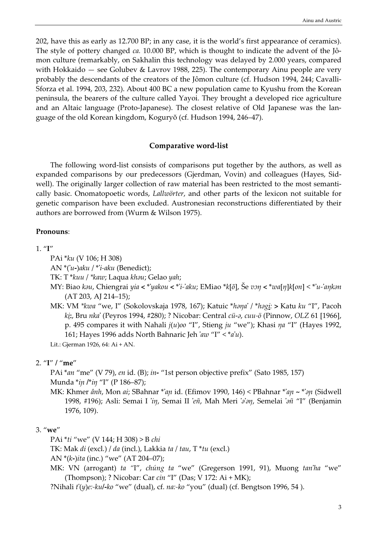202, have this as early as 12.700 BP; in any case, it is the world's first appearance of ceramics). The style of pottery changed *ca.* 10.000 BP, which is thought to indicate the advent of the Jômon culture (remarkably, on Sakhalin this technology was delayed by 2.000 years, compared with Hokkaido — see Golubev & Lavrov 1988, 225). The contemporary Ainu people are very probably the descendants of the creators of the Jômon culture (cf. Hudson 1994, 244; Cavalli-Sforza et al. 1994, 203, 232). About 400 BC a new population came to Kyushu from the Korean peninsula, the bearers of the culture called Yayoi. They brought a developed rice agriculture and an Altaic language (Proto-Japanese). The closest relative of Old Japanese was the language of the old Korean kingdom, Koguryŏ (cf. Hudson 1994, 246–47).

#### Comparative word-list

The following word-list consists of comparisons put together by the authors, as well as expanded comparisons by our predecessors (Gjerdman, Vovin) and colleagues (Hayes, Sidwell). The originally larger collection of raw material has been restricted to the most semantically basic. Onomatopoetic words, Lallwörter, and other parts of the lexicon not suitable for genetic comparison have been excluded. Austronesian reconstructions differentiated by their authors are borrowed from (Wurm & Wilson 1975).

#### Pronouns:

 $1.$  "I"

PAi \*ku (V 106; H 308)

AN  $*(u-)aku$  /  $*ri-aku$  (Benedict);

TK: T\*kuu / \*kaw; Laqua khau; Gelao yah;

- MY: Biao kau, Chiengrai yia < \*'yakou < \*'i-'aku; EMiao \*k[õ], Še von < \*wa[n]k[on] < \*'u-'ankan (AT 203, AJ 214–15);
- MK: VM \*kwa "we, I" (Sokolovskaja 1978, 167); Katuic \*hana' / \*hagi: > Katu ku "I", Pacoh ki:, Bru nka' (Peyros 1994, #280); ? Nicobar: Central cü-ə, cuu-ö (Pinnow, OLZ 61 [1966], p. 495 compares it with Nahali  $j(u)$ oo "I", Stieng  $ju$  "we"); Khasi  $nq$  "I" (Hayes 1992, 161; Hayes 1996 adds North Bahnaric Jeh 'aw "I"  $\langle a u \rangle$ ".

Lit.: Gjerman 1926, 64: Ai + AN.

#### 2. "I" / "me"

PAi \*an "me" (V 79), en id. (B); in- "1st person objective prefix" (Sato 1985, 157) Munda \*iɲ /\*iŋ "I" (P 186–87);

MK: Khmer ânh, Mon ai; SBahnar \*'an id. (Efimov 1990, 146) < PBahnar \*'an ~ \*'an (Sidwell 1998, #196); Asli: Semai I 'in, Semai II 'eñ, Mah Meri 'a'an, Semelai 'añ "I" (Benjamin 1976, 109).

## 3. "we"

PAi \*ti "we" (V 144; H 308) > B chi

TK: Mak di (excl.) / da (incl.), Lakkia ta / tau, T \*tu (excl.)

AN  $*(k-)ita$  (inc.) "we" (AT 204-07);

MK: VN (arrogant) ta "I", chúng ta "we" (Gregerson 1991, 91), Muong tan'ha "we" (Thompson); ? Nicobar: Car cin "I" (Das; V 172: Ai + MK);

?Nihali  $t'(y)e$ :-kul-ko "we" (dual), cf. na:-ko "you" (dual) (cf. Bengtson 1996, 54).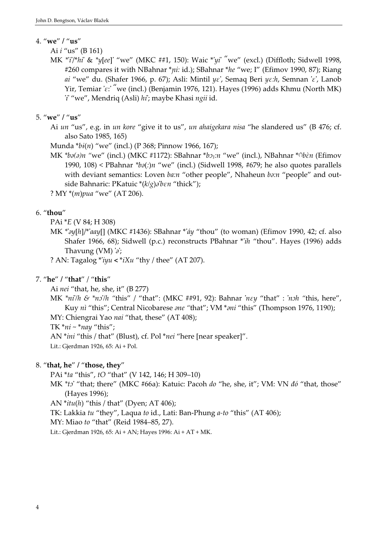## 4. "we" / "us"

Ai i "us" (B 161)

MK \*'i'/\*hi' & \*y[ee]' "we" (MKC ##1, 150): Waic \*'yi' "we" (excl.) (Diffloth; Sidwell 1998, #260 compares it with NBahnar  $*pi$ : id.); SBahnar  $*he$  "we; I" (Efimov 1990, 87); Riang ai "we" du. (Shafer 1966, p. 67); Asli: Mintil  $\psi \varepsilon'$ , Semaq Beri  $\psi \varepsilon$ :h, Semnan ' $\varepsilon'$ , Lanob Yir, Temiar 'ε:' "we (incl.) (Benjamin 1976, 121). Hayes (1996) adds Khmu (North MK) 'i' "we", Mendriq (Asli) hi'; maybe Khasi ngii id.

## 5. "we" / "us"

Ai un "us", e.g. in un kore "give it to us", un ahaigekara nisa "he slandered us" (B 476; cf. also Sato 1985, 165)

Munda  $*bi(n)$  "we" (incl.) (P 368; Pinnow 1966, 167);

MK \*bə(ə)n "we" (incl.) (MKC #1172): SBahnar \*bɔ<sub>1</sub>:n "we" (incl.), NBahnar \*(`bɛ̀n (Efimov ' 1990, 108) < PBahnar \* $b\partial$ :  $n$  "we" (incl.) (Sidwell 1998, #679; he also quotes parallels with deviant semantics: Loven  $\frac{b a}{n}$  "other people", Nhaheun  $\frac{b a}{n}$  "people" and outside Bahnaric: PKatuic  $*(k/g)\partial b\epsilon n$  "thick");

? MY \*(m)pua "we" (AT 206).

## 6. "thou"

- PAi \*E (V 84; H 308)
- MK \*'ay[h]/\*'aay[] (MKC #1436): SBahnar \*'áy "thou" (to woman) (Efimov 1990, 42; cf. also Shafer 1966, 68); Sidwell (p.c.) reconstructs PBahnar \*'ih "thou". Hayes (1996) adds Thavung  $(VM)'a'$ :

? AN: Tagalog \*'iyu < \*iXu "thy / thee" (AT 207).

## 7. "he" / "that" / "this"

Ai nei "that, he, she, it" (B 277)

MK  $*ni/h \& *ni'$ /h "this" / "that": (MKC ##91, 92): Bahnar 'ney "that" : 'nɔh "this, here", Kuy nì "this"; Central Nicobarese *ane* "that"; VM \**ani* "this" (Thompson 1976, 1190); MY: Chiengrai Yao nai "that, these" (AT 408);

TK  $*ni$  ~  $*nay$  "this";

AN \**ini* "this / that" (Blust), cf. Pol \**nei* "here [near speaker]".

Lit.: Gjerdman 1926, 65: Ai + Pol.

## 8. "that, he" / "those, they"

PAi \*ta "this", tO "that" (V 142, 146; H 309–10)

MK \*ts' "that; there" (MKC #66a): Katuic: Pacoh do "he, she, it"; VM: VN đó "that, those" (Hayes 1996);

AN  $*itu(h)$  "this / that" (Dyen; AT 406);

TK: Lakkia tu "they", Laqua to id., Lati: Ban-Phung a-to "this" (AT 406);

MY: Miao to "that" (Reid 1984–85, 27).

Lit.: Gjerdman 1926, 65: Ai + AN; Hayes 1996: Ai + AT + MK.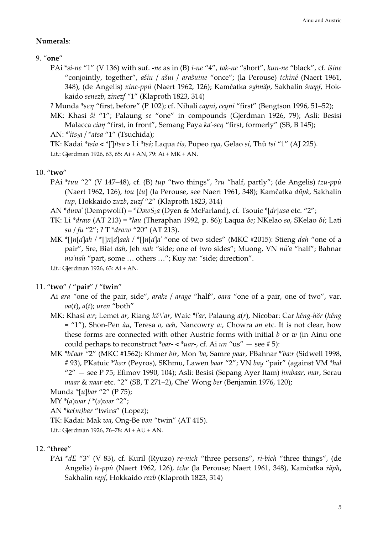#### Numerals:

#### 9. "one"

PAi \*si-ne "1" (V 136) with suf. -ne as in (B) i-ne "4", tak-ne "short", kun-ne "black", cf. išine "conjointly, together", ašiu / ašui / arašuine "once"; (la Perouse) tchiné (Naert 1961, 348), (de Angelis) xine-ppú (Naert 1962, 126); Kamčatka syhnäp, Sakhalin šnepf, Hokkaido senezb, zinezf "1" (Klaproth 1823, 314)

? Munda \*sεŋ "first, before" (P 102); cf. Nihali cayni, ceyni "first" (Bengtson 1996, 51–52);

MK: Khasi ši "1"; Palaung se "one" in compounds (Gjerdman 1926, 79); Asli: Besisi Malacca cian "first, in front", Semang Paya ka'-sen "first, formerly" (SB, B 145);

AN:  $*$ *its<sub>1</sub>a* /  $*$ *atsa* "1" (Tsuchida);

TK: Kadai \*tsia < \*[']itsa > Li \*tsi; Laqua tia, Pupeo cya, Gelao si, Thü tsi "1" (AJ 225). Lit.: Gjerdman 1926, 63, 65: Ai + AN, 79: Ai + MK + AN.

## 10. "two"

- PAi \*tuu "2" (V 147–48), cf. (B) tup "two things", ?ru "half, partly"; (de Angelis) tzu-ppù (Naert 1962, 126), tou [tu] (la Perouse, see Naert 1961, 348); Kamčatka dūpk, Sakhalin tup, Hokkaido zuzb, zuzf "2" (Klaproth 1823, 314)
- AN  $*duva'$  (Dempwolff) =  $*DawS<sub>3</sub>a$  (Dyen & McFarland), cf. Tsouic  $*[dr]$ usa etc. "2";
- TK: Li \*draw (AT 213) = \*łau (Theraphan 1992, p. 86); Laqua δe; NKelao so, SKelao δi; Lati su / fu "2"; ? T \*dra:w "20" (AT 213).
- MK \*[]n[d]ah / \*[]n[d]aah / \*[]n[d]a' "one of two sides" (MKC #2015): Stieng dah "one of a pair", Sre, Biat dah, Jeh nah "side; one of two sides"; Muong, VN nů'a "half"; Bahnar ma'nah "part, some ... others ..."; Kuy na: "side; direction".

Lit.: Gjerdman 1926, 63: Ai + AN.

## 11. "two" / "pair" / "twin"

- Ai ara "one of the pair, side", arake / arage "half", oara "one of a pair, one of two", var.  $oa(t)$ ,  $a(t)$ ; uren "both"
- MK: Khasi a:r; Lemet ar, Riang k $\delta \$ 'ar, Waic \*l'ar, Palaung a(r), Nicobar: Car hěng-hör (hěng = "1"), Shon-Pen àu, Teresa o, aeh, Nancowry a:, Chowra an etc. It is not clear, how these forms are connected with other Austric forms with initial  $b$  or  $w$  (in Ainu one could perhaps to reconstruct \**oar-* < \**uar-*, cf. Ai *un* "us"  $-$  see #5):
- MK \*bi'aar "2" (MKC #1562): Khmer bir, Mon 'ba, Samre paar, PBahnar \*'ba:r (Sidwell 1998, # 93), PKatuic \*'ba:r (Peyros), SKhmu, Lawen baar "2"; VN bay "pair" (against VM \*hal " $2"$  — see P 75; Efimov 1990, 104); Asli: Besisi (Sepang Ayer Itam) hmbaar, mar, Serau maar & naar etc. "2" (SB, T 271–2), Che' Wong ber (Benjamin 1976, 120);

Munda \*[u]bar "2" (P 75);

 $MY * (a) war / * (a) wor "2";$ 

AN \*ke(m)bar "twins" (Lopez);

TK: Kadai: Mak wa, Ong-Be van "twin" (AT 415).

Lit.: Gjerdman 1926, 76–78: Ai + AU + AN.

## 12. "three"

PAi \*dE "3" (V 83), cf. Kuril (Ryuzo) re-nich "three persons", ri-bich "three things", (de Angelis) le-ppù (Naert 1962, 126), tche (la Perouse; Naert 1961, 348), Kamčatka räph, Sakhalin repf, Hokkaido rezb (Klaproth 1823, 314)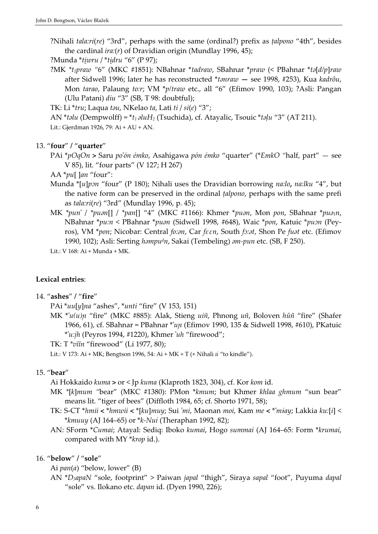?Nihali tala:ri(re) "3rd", perhaps with the same (ordinal?) prefix as talpono "4th", besides the cardinal  $ira:(r)$  of Dravidian origin (Mundlay 1996, 45);

?Munda \*tiwru / \*tidru "6" (P 97);

?MK  $*_{t}$ praw "6" (MKC #1851): NBahnar  $*_{t}$ adraw, SBahnar  $*_{p}$ raw (< PBahnar  $*_{t}$ a[d/p]raw after Sidwell 1996; later he has reconstructed \*tanraw - see 1998, #253), Kua kadrôu, Mon tarao, Palaung to:r; VM \*p/traw etc., all "6" (Efimov 1990, 103); ?Asli: Pangan (Ulu Patani) diu "3" (SB, T 98: doubtful);

TK: Li  $*$ tru; Laqua tau, NKelao ta, Lati ti / si(e) "3";

AN \*talu (Dempwolff) =  $*_{t_1}$  aluH<sub>2</sub> (Tsuchida), cf. Atayalic, Tsouic  $*_{t_1}$  alum "3" (AT 211). Lit.: Gjerdman 1926, 79: Ai + AU + AN.

## 13. "four" / "quarter"

PAi \*pOqOn > Saru po'ón émko, Asahigawa pón émko "quarter" (\*EmkO "half, part" — see V 85), lit. "four parts" (V 127; H 267)

AA \*pu[ ]an "four":

- Munda  $\lceil u \rceil$ pɔn "four" (P 180); Nihali uses the Dravidian borrowing na:lo, na:lku "4", but the native form can be preserved in the ordinal *talpono*, perhaps with the same prefi as tala:ri(re) "3rd" (Mundlay 1996, p. 45);
- MK \*pun' / \*puən[] / \*pan[] "4" (MKC #1166): Khmer \*puən, Mon pon, SBahnar \*puə<sub>1</sub>n, NBahnar \*pu:n < PBahnar \*puan (Sidwell 1998, #648), Waic \*pon, Katuic \*puan (Peyros), VM \*pon; Nicobar: Central fo:an, Car fεεn, South fo:at, Shon Pe fuat etc. (Efimov 1990, 102); Asli: Serting  $hompu^d n$ , Sakai (Tembeling)  $\partial m$ -pun etc. (SB, F 250).

Lit.: V 168: Ai + Munda + MK.

## Lexical entries:

## 14. "ashes" / "fire"

PAi \*uu[y]na "ashes", \*unti "fire" (V 153, 151)

MK  $\tilde{u}(u)$ n "fire" (MKC #885): Alak, Stieng uiñ, Phnong uñ, Boloven hůñ "fire" (Shafer 1966, 61), cf. SBahnar = PBahnar \*'uɲ (Efimov 1990, 135 & Sidwell 1998, #610), PKatuic  $*u:ih$  (Peyros 1994, #1220), Khmer 'uh "firewood";

TK: T \*vïïn "firewood" (Li 1977, 80);

Lit.: V 173: Ai + MK; Bengtson 1996, 54: Ai + MK + T (+ Nihali ú "to kindle").

## 15. "bear"

Ai Hokkaido kuma > or < Jp kuma (Klaproth 1823, 304), cf. Kor kom id.

- MK \*[k]mum "bear" (MKC #1380): PMon \*kmum; but Khmer khlaa ghmum "sun bear" means lit. "tiger of bees" (Diffloth 1984, 65; cf. Shorto 1971, 58);
- TK: S-CT \*hmii < \*hmwii < \*[ku]muy; Sui 'mi, Maonan moi, Kam me < \*'miay; Lakkia ku:[i] < \* $kmuuu$  (AJ 164–65) or \* $k$ -Nui (Theraphan 1992, 82);
- AN: SForm \*Cumai; Atayal: Sediq: Iboko kumai, Hogo summai (AJ 164–65: Form \*krumai, compared with MY \*krop id.).

## 16. "below" / "sole"

Ai  $pan(a)$  "below, lower" (B)

AN \*D<sub>3</sub>apaN "sole, footprint" > Paiwan japal "thigh", Siraya sapal "foot", Puyuma dapal "sole" vs. Ilokano etc. dapan id. (Dyen 1990, 226);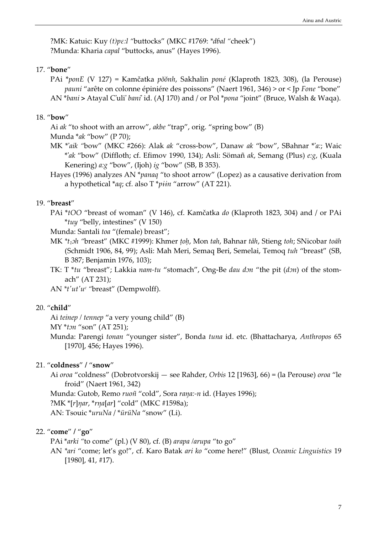?MK: Katuic: Kuy (t) pε: l "buttocks" (MKC #1769: \*dbal "cheek") ?Munda: Kharia capal "buttocks, anus" (Hayes 1996).

#### 17. "bone"

PAi \*ponE (V 127) = Kamčatka pŏŏnh, Sakhalin poné (Klaproth 1823, 308), (la Perouse) pauni "arête on colonne épiniére des poissons" (Naert 1961, 346) > or < Jp Fone "bone" AN \*bani > Atayal C'uli' bani' id. (AJ 170) and / or Pol \*pona "joint" (Bruce, Walsh & Waqa).

## 18. "bow"

Ai ak "to shoot with an arrow", akbe "trap", orig. "spring bow" (B)

Munda \*ak "bow" (P 70);

- MK \*'aik "bow" (MKC #266): Alak ak "cross-bow", Danaw ak "bow", SBahnar \*'a:; Waic \*'ak "bow" (Diffloth; cf. Efimov 1990, 134); Asli: Sömañ ak, Semang (Plus) e:g, (Kuala Kenering)  $a:g$  "bow", (Ijoh)  $ig$  "bow" (SB, B 353).
- Hayes (1996) analyzes AN \*panaq "to shoot arrow" (Lopez) as a causative derivation from a hypothetical \*aq; cf. also  $T^*$ piin "arrow" (AT 221).

## 19. "breast"

- PAi \*tOO "breast of woman" (V 146), cf. Kamčatka do (Klaproth 1823, 304) and / or PAi \*tuy "belly, intestines" (V 150)
- Munda: Santali toa "(female) breast";
- MK \*t<sub>1</sub>ph "breast" (MKC #1999): Khmer toh, Mon tah, Bahnar tåh, Stieng toh; SNicobar toāh (Schmidt 1906, 84, 99); Asli: Mah Meri, Semaq Beri, Semelai, Temoq tuh "breast" (SB, B 387; Benjamin 1976, 103);
- TK: T \*tu "breast"; Lakkia nam-tu "stomach", Ong-Be dau don "the pit (don) of the stomach" (AT 231);
- AN  $*t'ut'u'$  "breast" (Dempwolff).

#### 20. "child"

Ai teinep / tennep "a very young child" (B)

 $MY * tnn$  "son" (AT 251);

Munda: Parengi tonan "younger sister", Bonda tuna id. etc. (Bhattacharya, Anthropos 65 [1970], 456; Hayes 1996).

## 21. "coldness" / "snow"

Ai oroa "coldness" (Dobrotvorskij — see Rahder, Orbis 12 [1963], 66) = (la Perouse) oroa "le froid" (Naert 1961, 342)

Munda: Gutob, Remo ruoñ "cold", Sora raŋa:-n id. (Hayes 1996);

?MK \*[r]ŋar, \*rŋa[ar] "cold" (MKC #1598a);

AN: Tsouic \*uruNa / \*ürüNa "snow" (Li).

### 22. "come" / "go"

PAi \*arki "to come" (pl.) (V 80), cf. (B) arapa /arupa "to go"

AN \*ari "come; let's go!", cf. Karo Batak ari ko "come here!" (Blust, Oceanic Linguistics 19 [1980], 41, #17).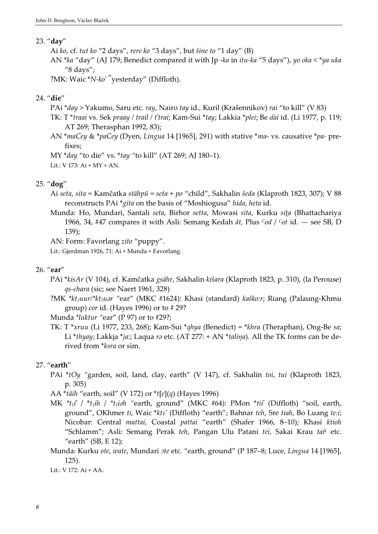#### 23. "day"

Ai ko, cf. tut ko "2 days", rere ko "3 days", but šine to "1 day" (B)

AN \*ka "day" (AJ 179; Benedict compared it with Jp -ka in itu-ka "5 days"), yo oka < \*ya uka "8 days";

?MK: Waic \*N-ko' "yesterday" (Diffloth).

#### 24. "die"

PAi \*day > Yakumo, Saru etc. ray, Nairo tay id., Kuril (Krašennikov) rai "to kill" (V 83)

TK: T \*traai vs. Sek praay / trail / t'trai; Kam-Sui \*tay; Lakkia \*plei; Be ɗai id. (Li 1977, p. 119; AT 269; Therasphan 1992, 83);

AN \*maCey & \*paCey (Dyen, Lingua 14 [1965], 291) with stative \*ma- vs. causative \*pa- prefixes;

MY \*day "to die" vs. \*tay "to kill" (AT 269; AJ 180–1). Lit.: V 173: Ai + MY + AN.

#### 25. "dog"

Ai seta, sita = Kamčatka stāhpŭ = seta + po "child", Sakhalin šeda (Klaproth 1823, 307); V 88 reconstructs PAi \*gita on the basis of "Moshiogusa" hida, heta id.

Munda: Ho, Mundari, Santali seta, Birhor setta, Mowasi sita, Kurku sita (Bhattachariya 1966, 34, #47 compares it with Asli: Semang Kedah  $dt$ , Plus Cod / Cot id.  $-$  see SB, D 139);

AN: Form: Favorlang zito "puppy".

Lit.: Gjerdman 1926, 71: Ai + Munda + Favorlang.

#### 26. "ear"

PAi \*kisAr (V 104), cf. Kamčatka gsāhr, Sakhalin kišara (Klaproth 1823, p. 310), (la Perouse) qs-chara (sic; see Naert 1961, 328)

?MK \*kt2uur/\*kt2uar "ear" (MKC #1624): Khasi (standard) kaško:r; Riang (Palaung-Khmu group) cor id. (Hayes 1996) or to # 29?

Munda \*luktur "ear" (P 97) or to #29?;

TK: T  $*$ xruu (Li 1977, 233, 268); Kam-Sui  $*$ qhya (Benedict) =  $*$ khra (Theraphan), Ong-Be sa; Li \*thyay; Lakkja \*ja:; Laqua ra etc. (AT 277: + AN \*talina). All the TK forms can be derived from \*ksra or sim.

#### 27. "earth"

PAi \*tOy "garden, soil, land, clay, earth" (V 147), cf. Sakhalin toi, tui (Klaproth 1823, p. 305)

AA \*täih "earth, soil" (V 172) or \*t[e](q) (Hayes 1996)

- MK  $*_{t_1i'}/*_{t_1ih}/*_{t_1ish}$  "earth, ground" (MKC #64): PMon  $*ti'$  (Diffloth) "soil, earth, ground", OKhmer ti, Waic \*ktε' (Diffloth) "earth"; Bahnar teh, Sre tiah, Bo Luang te:i; Nicobar: Central mattai, Coastal pattai "earth" (Shafer 1966, 8–10); Khasi ktioh "Schlamm"; Asli: Semang Perak teh, Pangan Ulu Patani tei, Sakai Krau taik etc. "earth" (SB, E 12);
- Munda: Kurku ote, wate, Mundari ate etc. "earth, ground" (P 187-8; Luce, Lingua 14 [1965], 125).

Lit.: V 172: Ai + AA.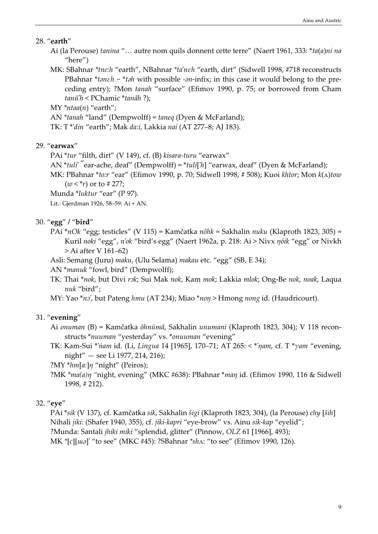#### 28. "earth"

- Ai (la Perouse) tanina "… autre nom quils donnent cette terre" (Naert 1961, 333: \*ta(a)ni na "here")
- MK: SBahnar \*tne:h "earth", NBahnar \*ta'neh "earth, dirt" (Sidwell 1998, #718 reconstructs PBahnar \*taneh ~ \*tah with possible -an-infix; in this case it would belong to the preceding entry); ?Mon tanah "surface" (Efimov 1990, p. 75; or borrowed from Cham tanŭ'h < PChamic \*tanãh ?);

 $MY * ntaa(n)$  "earth";

AN \*tanah "land" (Dempwolff) = taneq (Dyen & McFarland);

TK: T \*'din "earth"; Mak da:i, Lakkia nai (AT 277–8; AJ 183).

## 29. "earwax"

- PAi \*tur "filth, dirt" (V 149), cf. (B) kisara-turu "earwax"
- AN \*tuli' "ear-ache, deaf" (Dempwolff) = \*tuli['h] "earwax, deaf" (Dyen & McFarland);
- MK: PBahnar \*to:r "ear" (Efimov 1990, p. 70; Sidwell 1998, # 508); Kuoi khtor; Mon  $k(\Lambda)$ tow  $(w < *r)$  or to # 27?;

Munda \*luktur "ear" (P 97).

Lit.: Gjerdman 1926, 58–59: Ai + AN.

## 30. "egg" / "bird"

- PAi \* $nOk$  "egg; testicles" (V 115) = Kamčatka  $nôhk$  = Sakhalin  $nuku$  (Klaproth 1823, 305) = Kuril noki "egg", n'ok "bird's egg" (Naert 1962a, p. 218: Ai > Nivx ŋóik "egg" or Nivkh > Ai after V 161–62)
- Asli: Semang (Juru) maku, (Ulu Selama) makau etc. "egg" (SB, E 34);
- AN \*manuk "fowl, bird" (Dempwolff);
- TK: Thai \*nok, but Divi rok; Sui Mak nok, Kam mok; Lakkia mlok; Ong-Be nok, noak, Laqua nuk "bird";

MY: Yao  $n^2$ , but Pateng hmu (AT 234); Miao  $n^2$  > Hmong nong id. (Haudricourt).

## 31. "evening"

- Ai onuman (B) = Kamčatka ōhnūmă, Sakhalin unumani (Klaproth 1823, 304); V 118 reconstructs \*nuuman "yesterday" vs. \*onuuman "evening"
- TK: Kam-Sui \*'ńam id. (Li, Lingua 14 [1965], 170–71; AT 265: < \*'ŋam, cf. T \*γam "evening, night" — see Li 1977, 214, 216);

?MY  $*hm[a:]\eta$  "night" (Peiros);

?MK \*ma(a)η "night, evening" (MKC #638): PBahnar \*man id. (Efimov 1990, 116 & Sidwell 1998, # 212).

## 32. "eye"

PAi \*sik (V 137), cf. Kamčatka sik, Sakhalin šigi (Klaproth 1823, 304), (la Perouse) chy [ših] Nihali jiki: (Shafer 1940, 355), cf. jiki-kapri "eye-brow" vs. Ainu sik-kap "eyelid"; ?Munda: Santali jhiki miki "splendid, glitter" (Pinnow, OLZ 61 [1966], 493); MK \*[c][*uua*]' "to see" (MKC #45): ?SBahnar \*sh^: "to see" (Efimov 1990, 126).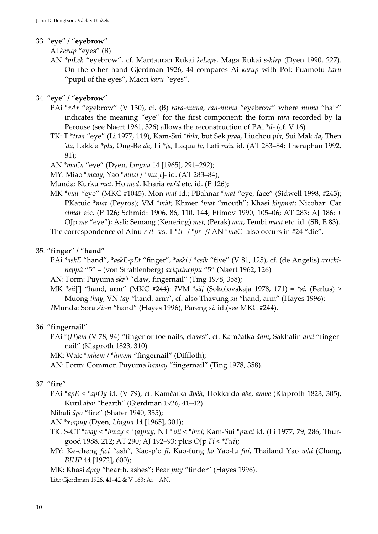## 33. "eye" / "eyebrow"

Ai kerup "eyes" (B)

AN \*piLek "eyebrow", cf. Mantauran Rukai keLepe, Maga Rukai s-kirp (Dyen 1990, 227). On the other hand Gjerdman 1926, 44 compares Ai kerup with Pol: Puamotu karu "pupil of the eyes", Maori karu "eyes".

## 34. "eye" / "eyebrow"

- PAi \*rAr "eyebrow" (V 130), cf. (B) rara-numa, ran-numa "eyebrow" where numa "hair" indicates the meaning "eye" for the first component; the form tara recorded by la Perouse (see Naert 1961, 326) allows the reconstruction of PAi \*d- (cf. V 16)
- TK: T \*traa "eye" (Li 1977, 119), Kam-Sui \*thla, but Sek praa, Liuchou pia, Sui Mak da, Then 'da, Lakkia \*pla, Ong-Be ɗa, Li \*ja, Laqua te, Lati mću id. (AT 283–84; Theraphan 1992, 81);
- AN \*maCa "eye" (Dyen, Lingua 14 [1965], 291–292);
- MY: Miao \*maay, Yao \*muai / \*mu[t]- id. (AT 283-84);
- Munda: Kurku *met*, Ho *med*, Kharia *mo'd* etc. id. (P 126);
- MK \*mat "eye" (MKC #1045): Mon mat id.; PBahnar \*mat "eye, face" (Sidwell 1998, #243); PKatuic \*mat (Peyros); VM \*măt; Khmer \*mat "mouth"; Khasi khymat; Nicobar: Car elmat etc. (P 126; Schmidt 1906, 86, 110, 144; Efimov 1990, 105–06; AT 283; AJ 186: + OJp me "eye"); Asli: Semang (Kenering) met, (Perak) mat, Tembi maat etc. id. (SB, E 83). The correspondence of Ainu r-/t- vs. T \*tr- / \*pr- // AN \*maC- also occurs in #24 "die".

## 35. "finger" / "hand"

- PAi \*askE "hand", \*askE-pEt "finger", \*aski / \*asik "five" (V 81, 125), cf. (de Angelis) axichineppù "5" = (von Strahlenberg) axiquineppu "5" (Naert 1962, 126)
- AN: Form: Puyuma ski<sup>()</sup> "claw, fingernail" (Ting 1978, 358); '
- MK \*sii['] "hand, arm" (MKC #244): ?VM \*săj (Sokolovskaja 1978, 171) = \*si: (Ferlus) > Muong thay, VN tay "hand, arm", cf. also Thavung sii "hand, arm" (Hayes 1996); ?Munda: Sora s'i:-n "hand" (Hayes 1996), Pareng si: id.(see MKC #244).

## 36. "fingernail"

- PAi \*(H)am (V 78, 94) "finger or toe nails, claws", cf. Kamčatka āhm, Sakhalin ami "fingernail" (Klaproth 1823, 310)
- MK: Waic \*mhem / \*hmem "fingernail" (Diffloth);
- AN: Form: Common Puyuma hamay "fingernail" (Ting 1978, 358).

## 37. "fire"

- PAi \*apE < \*apOy id. (V 79), cf. Kamčatka āpěh, Hokkaido abe, ambe (Klaproth 1823, 305), Kuril aboi "hearth" (Gjerdman 1926, 41–42)
- Nihali āpo "fire" (Shafer 1940, 355);
- AN  $x_1$ <sub>apuy</sub> (Dyen, Lingua 14 [1965], 301);
- TK: S-CT \*way < \*bway < \*(a)puy, NT \*vii < \*bwi; Kam-Sui \*pwai id. (Li 1977, 79, 286; Thurgood 1988, 212; AT 290; AJ 192–93: plus OJp  $Fi < *Fu$ ;
- MY: Ke-cheng fwi "ash", Kao-p'o fi, Kao-ťung ha Yao-lu fui, Thailand Yao whi (Chang, BIHP 44 [1972], 600);
- MK: Khasi dpey "hearth, ashes"; Pear puy "tinder" (Hayes 1996).
- Lit.: Gjerdman 1926, 41–42 & V 163: Ai + AN.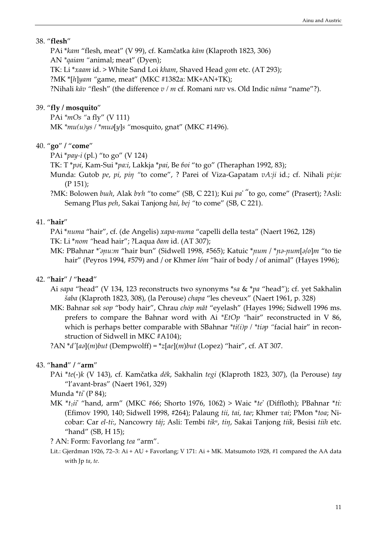#### 38. "flesh"

PAi \*kam "flesh, meat" (V 99), cf. Kamčatka kām (Klaproth 1823, 306) AN \*qaiam "animal; meat" (Dyen); TK: Li \*xaam id. > White Sand Loi kham, Shaved Head gom etc. (AT 293); ?MK \*[h]yam "game, meat" (MKC #1382a: MK+AN+TK); ?Nihali  $k\bar{a}v$  "flesh" (the difference  $v/m$  cf. Romani nav vs. Old Indic nāma "name"?).

## 39. "fly / mosquito"

PAi \*mOs "a fly" (V 111) MK  $*mu(u)ys$  /  $*mu[s]$  "mosquito, gnat" (MKC #1496).

### 40. "go" / "come"

PAi  $*_{pay-i}$  (pl.) "to go" (V 124)

TK: T \**pai*, Kam-Sui \**pa:i*, Lakkja \**pai*, Be *foi* "to go" (Theraphan 1992, 83);

- Munda: Gutob pe, pi, pin "to come", ? Parei of Viza-Gapatam vA:ji id.; cf. Nihali pi:ja: (P 151);
- ?MK: Bolowen buth, Alak bxh "to come" (SB, C 221); Kui pa' "to go, come" (Prasert); ?Asli: Semang Plus peh, Sakai Tanjong bai, bej "to come" (SB, C 221).

#### 41. "hair"

PAi \*numa "hair", cf. (de Angelis) xapa-numa "capelli della testa" (Naert 1962, 128)

TK: Li \*nom "head hair"; ?Laqua ðam id. (AT 307);

MK: PBahnar \*'apu:m "hair bun" (Sidwell 1998, #565); Katuic \*pum / \*pa-pum[a/o]m "to tie hair" (Peyros 1994, #579) and / or Khmer lóm "hair of body / of animal" (Hayes 1996);

## 42. "hair" / "head"

- Ai sapa "head" (V 134, 123 reconstructs two synonyms \*sa & \*pa "head"); cf. yet Sakhalin šaba (Klaproth 1823, 308), (la Perouse) chapa "les cheveux" (Naert 1961, p. 328)
- MK: Bahnar sok sop "body hair", Chrau chop măt "eyelash" (Hayes 1996; Sidwell 1996 ms. prefers to compare the Bahnar word with Ai \*EtOp "hair" reconstructed in V 86, which is perhaps better comparable with SBahnar  $*ti(i)p / *tiap$  "facial hair" in reconstruction of Sidwell in MKC #A104);

?AN  $d'$ [aə](m)but (Dempwolff) =  $\dot{z}$ [ae](m)but (Lopez) "hair", cf. AT 307.

#### 43. "hand" / "arm"

PAi \*te(-)k (V 143), cf. Kamčatka dēk, Sakhalin tegi (Klaproth 1823, 307), (la Perouse) tay "l'avant-bras" (Naert 1961, 329)

Munda \*ti' (P 84);

- MK  $*_{t_1}i_1i'$  "hand, arm" (MKC #66; Shorto 1976, 1062) > Waic  $*_{te}$ ' (Diffloth); PBahnar  $*_{ti}$ : (Efimov 1990, 140; Sidwell 1998, #264); Palaung tii, tai, tae; Khmer τai; PMon \*toa; Nicobar: Car el-ti:, Nancowry táj; Asli: Tembi tik<sup>n</sup>, tin, Sakai Tanjong tiik, Besisi tiih etc. "hand" (SB, H 15);
- ? AN: Form: Favorlang tea "arm".
- Lit.: Gjerdman 1926, 72–3: Ai + AU + Favorlang; V 171: Ai + MK. Matsumoto 1928, #1 compared the AA data with Jp ta, te.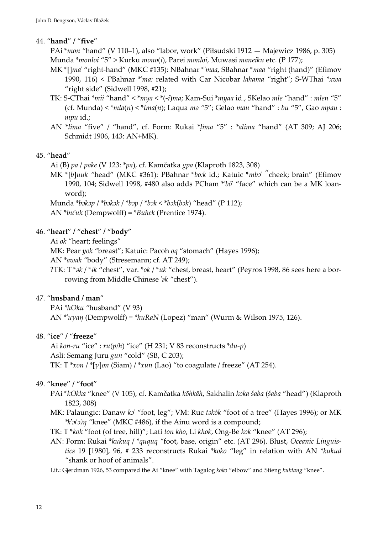#### 44. "hand" / "five"

PAi \*mon "hand" (V 110–1), also "labor, work" (Piłsudski 1912 — Majewicz 1986, p. 305) Munda \*monloi "5" > Kurku mono(i), Parei monloi, Muwasi maneiku etc. (P 177);

- MK \*[]ma' "right-hand" (MKC #135): NBahnar \*'maa, SBahnar \*maa "right (hand)" (Efimov 1990, 116) < PBahnar \*'ma: related with Car Nicobar lahama "right"; S-WThai \*xwa "right side" (Sidwell 1998, #21);
- TK: S-CThai \*mii "hand" < \*mya < \*(-i)ma; Kam-Sui \*myaa id., SKelao mle "hand" : mlen "5" (cf. Munda)  $\langle *mla(n) \rangle \langle *mla(n);$  Laqua ma "5"; Gelao mau "hand" : bu "5", Gao mpau : mpu id.;
- AN \*lima "five" / "hand", cf. Form: Rukai \*ḷima "5" : \*alima "hand" (AT 309; AJ 206; Schmidt 1906, 143: AN+MK).

## 45. "head"

Ai (B) pa / pake (V 123: \*pa), cf. Kamčatka gpa (Klaproth 1823, 308)

MK \*[b]uuk "head" (MKC #361): PBahnar \*bo:k id.; Katuic \*mbo "cheek; brain" (Efimov 1990, 104; Sidwell 1998, #480 also adds PCham \*'bō' "face" which can be a MK loanword);

Munda \*bəkəp / \*bəkək / \*bəp / \*bək < \*bək(bək) "head" (P 112);

AN \*bu'uk (Dempwolff) = \*Buhek (Prentice 1974).

## 46. "heart" / "chest" / "body"

Ai ok "heart; feelings"

MK: Pear yok "breast"; Katuic: Pacoh oq "stomach" (Hayes 1996);

AN \*awak "body" (Stresemann; cf. AT 249);

?TK: T \* $\partial k$  / \* $ik$  "chest", var. \* $\partial k$  / \* $uk$  "chest, breast, heart" (Peyros 1998, 86 sees here a borrowing from Middle Chinese 's "chest").

## 47. "husband / man"

PAi \*hOku "husband" (V 93) AN \*'uγaŋ (Dempwolff) = \*huRaN (Lopez) "man" (Wurm & Wilson 1975, 126).

## 48. "ice" / "freeze"

Ai kon-ru "ice" :  $ru(p/h)$  "ice" (H 231; V 83 reconstructs  $*du-p$ ) Asli: Semang Juru gun "cold" (SB, C 203); TK: T \**xon* / \*[ $\gamma$ ]*on* (Siam) / \**xun* (Lao) "to coagulate / freeze" (AT 254).

## 49. "knee" / "foot"

- PAi \*kOkka "knee" (V 105), cf. Kamčatka kōhkăh, Sakhalin koka šaba (šaba "head") (Klaproth 1823, 308)
- MK: Palaungic: Danaw ko' "foot, leg"; VM: Ruc takòk "foot of a tree" (Hayes 1996); or MK  $*k'$  $(0)$ <sup>m</sup> "knee" (MKC #486), if the Ainu word is a compound;
- TK: T \*kok "foot (of tree, hill)"; Lati ton kho, Li khok, Ong-Be kok "knee" (AT 296);
- AN: Form: Rukai \*kukuq / \*ququq "foot, base, origin" etc. (AT 296). Blust, Oceanic Linguistics 19 [1980], 96, # 233 reconstructs Rukai \*koko "leg" in relation with AN \*kukud "shank or hoof of animals".

Lit.: Gjerdman 1926, 53 compared the Ai "knee" with Tagalog koko "elbow" and Stieng kuktang "knee".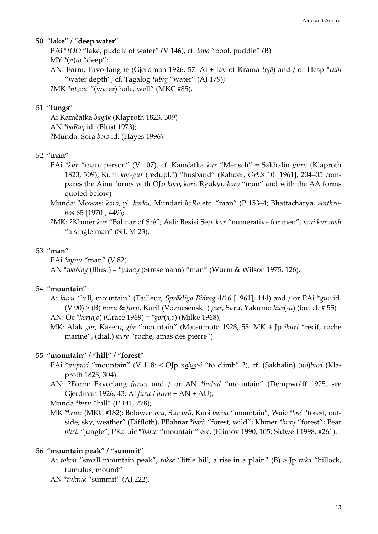#### 50. "lake" / "deep water"

PAi \*tOO "lake, puddle of water" (V 146), cf. topo "pool, puddle" (B)  $MY^*(n)$ to "deep"; AN: Form: Favorlang to (Gjerdman 1926, 57: Ai + Jav of Krama tojå) and / or Hesp \*tubi "water depth", cf. Tagalog tubig "water" (AJ 179); ?MK  $*$ *nt<sub>1</sub>uu'* "(water) hole, well" (MKC #85).

## 51. "lungs"

Ai Kamčatka bāgăk (Klaproth 1823, 309) AN \*baRaq id. (Blust 1973); ?Munda: Sora bara id. (Hayes 1996).

#### 52. "man"

- PAi \*kur "man, person" (V 107), cf. Kamčatka kūr "Mensch" = Sakhalin guru (Klaproth 1823, 309), Kuril kor-gur (redupl.?) "husband" (Rahder, Orbis 10 [1961], 204–05 compares the Ainu forms with OJp koro, kori, Ryukyu koro "man" and with the AA forms quoted below)
- Munda: Mowasi koro, pl. korku, Mundari hoRo etc. "man" (P 153–4; Bhattacharya, Anthropos 65 [1970], 449);
- ?MK: ?Khmer kur "Bahnar of Srê"; Asli: Besisi Sep. kur "numerative for men", mui kur mah "a single man" (SB, M 23).

#### 53. "man"

PAi \*aynu "man" (V 82) AN \*waNay (Blust) = \* $\gamma$ anay (Stresemann) "man" (Wurm & Wilson 1975, 126).

#### 54. "mountain"

- Ai kuru "hill, mountain" (Tailleur, Språkliga Bidrag 4/16 [1961], 144) and / or PAi \*gur id. (V 90) > (B) huru & furu, Kuril (Voznesenskii) gur, Saru, Yakumo hur(-u) (but cf. # 55) AN: Oc  $*kor(a, o)$  (Grace 1969) =  $*gor(a, o)$  (Milke 1968);
- MK: Alak gor, Kaseng gòr "mountain" (Matsumoto 1928, 58: MK + Jp ikuri "récif, roche marine", (dial.) kura "roche, amas des pierre").

#### 55. "mountain" / "hill" / "forest"

- PAi \*nupuri "mountain" (V 118: < OJp nobor-i "to climb" ?), cf. (Sakhalin) (no)buri (Klaproth 1823, 304)
- AN: ?Form: Favorlang furun and / or AN \*bulud "mountain" (Dempwolff 1925, see Gjerdman 1926, 43: Ai furu / huru + AN + AU);

Munda \*biru "hill" (P 141, 278);

MK \*bruu' (MKC #182): Bolowen bru, Sue brŭ, Kuoi barou "mountain", Waic \*bre' "forest, outside, sky, weather" (Diffloth), PBahnar \*bari: "forest, wild"; Khmer \*bray "forest"; Pear phri: "jungle"; PKatuic \*'baru: "mountain" etc. (Efimov 1990, 105; Sidwell 1998, #261).

#### 56. "mountain peak" / "summit"

- Ai tokon "small mountain peak", tokse "little hill, a rise in a plain" (B) > Jp tuka "hillock, tumulus, mound"
- AN \*tuktuk "summit" (AJ 222).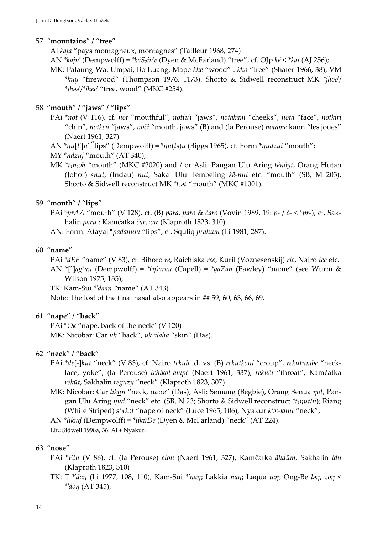#### 57. "mountains" / "tree"

Ai kaja "pays montagneux, montagnes" (Tailleur 1968, 274)

- AN \*kaju' (Dempwolff) = \*káS<sub>2</sub>iu'e (Dyen & McFarland) "tree", cf. OJp kë < \*kai (AJ 256);
- MK: Palaung-Wa: Umpai, Bo Luang, Mape khe "wood" : kho "tree" (Shafer 1966, 38); VM \*kuy "firewood" (Thompson 1976, 1173). Shorto & Sidwell reconstruct MK \*jhoo'/ \*jhaa'/\*jhee' "tree, wood" (MKC #254).

## 58. "mouth" / "jaws" / "lips"

- PAi \*not (V 116), cf. not "mouthful", not(u) "jaws", notakam "cheeks", nota "face", notkiri "chin", notkeu "jaws", noči "mouth, jaws" (B) and (la Perouse) notame kann "les joues" (Naert 1961, 327)
- AN \* $\eta u[t]u'$  "lips" (Dempwolff) = \* $\eta u(ts)u$  (Biggs 1965), cf. Form \* $\eta u dz u i$  "mouth";
- MY \*ndzuj "mouth" (AT 340);
- MK  $*_{t_1n_1}$ sh "mouth" (MKC #2020) and / or Asli: Pangan Ulu Aring těnöyt, Orang Hutan (Johor) snut, (Indau) nut, Sakai Ulu Tembeling kě-nut etc. "mouth" (SB, M 203). Shorto & Sidwell reconstruct MK  $*_t_1$ at "mouth" (MKC #1001).

## 59. "mouth" / "lips"

PAi \*prAA "mouth" (V 128), cf. (B) para, paro & čaro (Vovin 1989, 19: p- / č- < \*pr-), cf. Sakhalin paru : Kamčatka čār, zar (Klaproth 1823, 310)

AN: Form: Atayal \*padahum "lips", cf. Squliq prahum (Li 1981, 287).

## 60. "name"

PAi \*dEE "name" (V 83), cf. Bihoro re, Raichiska ree, Kuril (Voznesenskij) rie, Nairo tee etc.

AN \*[']ag'an (Dempwolff) = \*(n)aran (Capell) = \*qaZan (Pawley) "name" (see Wurm & Wilson 1975, 135);

TK: Kam-Sui \*'daan "name" (AT 343).

Note: The lost of the final nasal also appears in ## 59, 60, 63, 66, 69.

## 61. "nape" / "back"

PAi \*Ok "nape, back of the neck" (V 120) MK: Nicobar: Car uk "back", uk alaha "skin" (Das).

## 62. "neck" / "back"

- PAi \*de[-]kut "neck" (V 83), cf. Nairo tekuh id. vs. (B) rekutkoni "croup", rekutumbe "necklace, yoke", (la Perouse) tchikot-ampé (Naert 1961, 337), rekuči "throat", Kamčatka rēkŭt, Sakhalin reguzy "neck" (Klaproth 1823, 307)
- MK: Nicobar: Car likun "neck, nape" (Das); Asli: Semang (Begbie), Orang Benua not, Pangan Ulu Aring  $\eta ud$  "neck" etc. (SB, N 23; Shorto & Sidwell reconstruct  $*_{\xi} \eta ut/n$ ); Riang (White Striped) *sʻxkɔt "*nape of neck" (Luce 1965, 106), Nyakur *kʻɔ*:-*khút "*neck";

AN \*likuḍ (Dempwolff) = \*likúDe (Dyen & McFarland) "neck" (AT 224).

Lit.: Sidwell 1998a, 36: Ai + Nyakur.

## 63. "nose"

- PAi \*Etu (V 86), cf. (la Perouse) etou (Naert 1961, 327), Kamčatka āhdūm, Sakhalin idu (Klaproth 1823, 310)
- TK: T \*'dan (Li 1977, 108, 110), Kam-Sui \*'nan; Lakkia nan; Laqua tan; Ong-Be lan, zon < \*'doŋ (AT 345);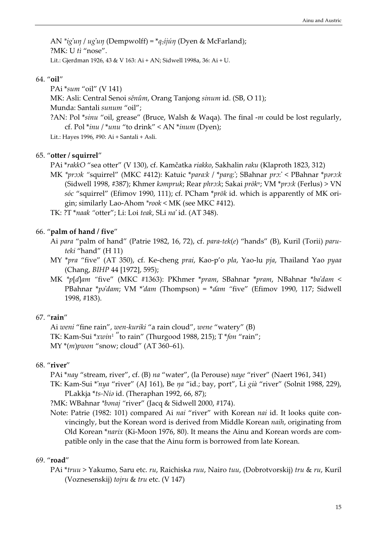AN \*ig'un / ug'un (Dempwolff) = \* $q_2$ ijún (Dyen & McFarland); ?MK: U tì "nose". Lit.: Gjerdman 1926, 43 & V 163: Ai + AN; Sidwell 1998a, 36: Ai + U.

#### 64. "oil"

PAi \*sum "oil" (V 141) MK: Asli: Central Senoi sěnûm, Orang Tanjong sinum id. (SB, O 11); Munda: Santali sunum "oil"; ?AN: Pol  $*sinu$  "oil, grease" (Bruce, Walsh & Waqa). The final  $-m$  could be lost regularly, cf. Pol  $*inv$  /  $*unu$  "to drink" < AN  $*inum$  (Dyen); Lit.: Hayes 1996, #90: Ai + Santali + Asli.

#### 65. "otter / squirrel"

PAi \*rakkO "sea otter" (V 130), cf. Kamčatka riakko, Sakhalin raku (Klaproth 1823, 312)

MK \*prook "squirrel" (MKC #412): Katuic \*para:k / \*para:'; SBahnar pro:' < PBahnar \*paro:k (Sidwell 1998, #387); Khmer kampruk; Rear phro:k; Sakai prōk<sup>n</sup>; VM \*pro:k (Ferlus) > VN sóc "squirrel" (Efimov 1990, 111); cf. PCham \*prōk id. which is apparently of MK origin; similarly Lao-Ahom \*rook < MK (see MKC #412).

TK: ?T \*naak "otter"; Li: Loi teak, SLi na' id. (AT 348).

#### 66. "palm of hand / five"

- Ai para "palm of hand" (Patrie 1982, 16, 72), cf. para-tek(e) "hands" (B), Kuril (Torii) paruteki "hand" (H 11)
- MY \*pra "five" (AT 350), cf. Ke-cheng prai, Kao-p'o pla, Yao-lu pja, Thailand Yao pyaa (Chang, BIHP 44 [1972], 595);
- MK \*p[ɗ]am "five" (MKC #1363): PKhmer \*pram, SBahnar \*pram, NBahnar \*ba'dam < PBahnar \*po'dam; VM \*'dam (Thompson) = \*dam "five" (Efimov 1990, 117; Sidwell 1998, #183).

## 67. "rain"

Ai weni "fine rain", wen-kuriki "a rain cloud", wene "watery" (B) TK: Kam-Sui  $*xwin'$  to rain" (Thurgood 1988, 215); T $*fon$  "rain";  $MY*(m)$ *pwon* "snow; cloud" (AT 360–61).

## 68. "river"

PAi \*nay "stream, river", cf. (B) na "water", (la Perouse) naye "river" (Naert 1961, 341)

TK: Kam-Sui \*'nya "river" (AJ 161), Be ŋa "id.; bay, port", Li già "river" (Solnit 1988, 229), PLakkja \*ts-Nia id. (Theraphan 1992, 66, 87);

?MK: WBahnar \*banaj "river" (Jacq & Sidwell 2000, #174).

Note: Patrie (1982: 101) compared Ai nai "river" with Korean nai id. It looks quite convincingly, but the Korean word is derived from Middle Korean naih, originating from Old Korean \*narix (Ki-Moon 1976, 80). It means the Ainu and Korean words are compatible only in the case that the Ainu form is borrowed from late Korean.

#### 69. "road"

PAi \*truu > Yakumo, Saru etc. ru, Raichiska ruu, Nairo tuu, (Dobrotvorskij) tru & ru, Kuril (Voznesenskij) tojru & tru etc. (V 147)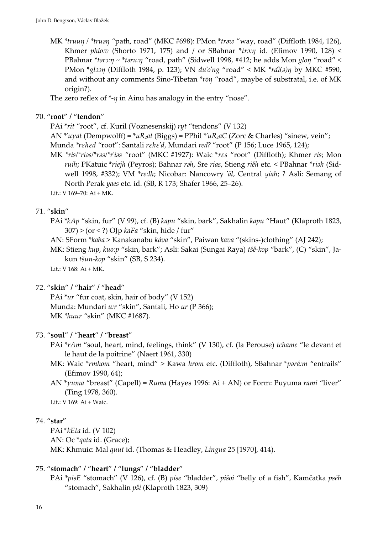MK \*truun / \*truan "path, road" (MKC #698): PMon \*traw "way, road" (Diffloth 1984, 126), Khmer phlo:v (Shorto 1971, 175) and / or SBahnar  $*$ tro: $\eta$  id. (Efimov 1990, 128) < PBahnar \*taro:n ~ \*taru:n "road, path" (Sidwell 1998, #412; he adds Mon glon "road" < PMon \*glɔɔŋ (Diffloth 1984, p. 123); VN đu'o'ng "road" < MK \*rdi(a)η by MKC #590, and without any comments Sino-Tibetan \*rōn "road", maybe of substratal, i.e. of MK origin?).

The zero reflex of  $*$ - $\eta$  in Ainu has analogy in the entry "nose".

## 70. "root" / "tendon"

PAi \*rit "root", cf. Kuril (Voznesenskij) ryt "tendons" (V 132)

AN \*'uγat (Dempwolff) =  $^*uR_2at$  (Biggs) = PPhil  $^*uR_2aC$  (Zorc & Charles) "sinew, vein";

Munda \*rεhεd "root": Santali rεhε'd, Mundari redʔ "root" (P 156; Luce 1965, 124);

MK \*ris/\*rias/\*ras/\*r'ias "root" (MKC #1927): Waic \*res "root" (Diffloth); Khmer ris; Mon ruih; PKatuic \*riejh (Peyros); Bahnar rah, Sre rias, Stieng riěh etc. < PBahnar \*riah (Sidwell 1998, #332); VM \*re:lh; Nicobar: Nancowry 'ãl, Central yiah; ? Asli: Semang of North Perak yaes etc. id. (SB, R 173; Shafer 1966, 25–26).

Lit.: V 169–70: Ai + MK.

## 71. "skin"

PAi \*kAp "skin, fur" (V 99), cf. (B) kapu "skin, bark", Sakhalin kapu "Haut" (Klaproth 1823,  $307$ ) > (or < ?) OJp kaFa "skin, hide / fur"

AN: SForm \*kaba > Kanakanabu káva "skin", Paiwan kava "(skins-)clothing" (AJ 242);

MK: Stieng kup, kuo:p "skin, bark"; Asli: Sakai (Sungai Raya) tšě-kop "bark", (C) "skin", Jakun tšun-kop "skin" (SB, S 234).

Lit.: V 168: Ai + MK.

## 72. "skin" / "hair" / "head"

PAi \*ur "fur coat, skin, hair of body" (V 152) Munda: Mundari u:r "skin", Santali, Ho ur (P 366); MK \*huur "skin" (MKC #1687).

## 73. "soul" / "heart" / "breast"

PAi \*rAm "soul, heart, mind, feelings, think" (V 130), cf. (la Perouse) tchame "le devant et le haut de la poitrine" (Naert 1961, 330)

- MK: Waic \*rmhom "heart, mind" > Kawa hrom etc. (Diffloth), SBahnar \*pará:m "entrails" (Efimov 1990, 64);
- AN \* $\gamma$ uma "breast" (Capell) = Ruma (Hayes 1996: Ai + AN) or Form: Puyuma *rami* "liver" (Ting 1978, 360).

Lit.: V 169: Ai + Waic.

## 74. "star"

PAi \*kEta id. (V 102) AN: Oc \*qata id. (Grace); MK: Khmuic: Mal quut id. (Thomas & Headley, Lingua 25 [1970], 414).

## 75. "stomach" / "heart" / "lungs" / "bladder"

PAi \*pisE "stomach" (V 126), cf. (B) pise "bladder", pišoi "belly of a fish", Kamčatka psēh "stomach", Sakhalin pši (Klaproth 1823, 309)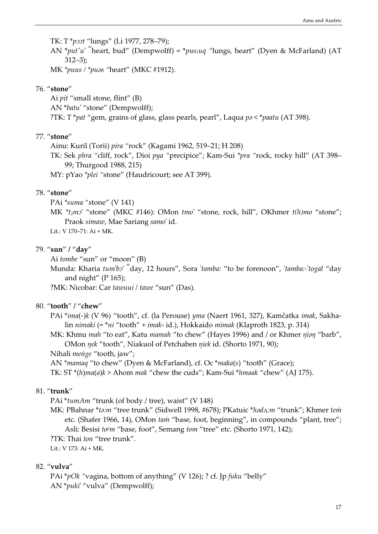TK: T\*poot "lungs" (Li 1977, 278-79);

AN \*put'u' "heart, bud" (Dempwolff) = \*pus<sub>1</sub>uq "lungs, heart" (Dyen & McFarland) (AT 312–3);

MK \*puus / \*pus "heart" (MKC #1912).

## 76. "stone"

Ai pit "small stone, flint" (B) AN \*batu' "stone" (Dempwolff); ?TK: T \**pat "gem, grains of glass, glass pearls, pearl", Laqua pa* < \**paatu* (AT 398).

## 77. "stone"

Ainu: Kuril (Torii) pira "rock" (Kagami 1962, 519–21; H 208)

TK: Sek phra "cliff, rock", Dioi pya "precipice"; Kam-Sui \*pra "rock, rocky hill" (AT 398– 99; Thurgood 1988, 215)

MY: pYao \*plei "stone" (Haudricourt; see AT 399).

## 78. "stone"

PAi \*suma "stone" (V 141)

MK  $*_t_2$ mɔ' "stone" (MKC #146): OMon tmo' "stone, rock, hill", OKhmer t(h)mo "stone"; Praok simaw, Mae Sariang samo' id.

Lit.: V 170–71: Ai + MK.

#### 79. "sun" / "day"

Ai tombe "sun" or "moon" (B)

Munda: Kharia tum'bo "day, 12 hours", Sora 'tamba: "to be forenoon", 'tamba:-'togal "day and night" ( $P$  165);

?MK: Nicobar: Car tawuui / tawe "sun" (Das).

## 80. "tooth" / "chew"

PAi \*ima(-)k (V 96) "tooth", cf. (la Perouse) yma (Naert 1961, 327), Kamčatka imak, Sakhalin nimaki (= \*ni "tooth" + imak- id.), Hokkaido mimak (Klaproth 1823, p. 314)

MK: Khmu mah "to eat", Katu mamah "to chew" (Hayes 1996) and / or Khmer  $\eta$ ian "barb", OMon ŋek "tooth", Niakuol of Petchaben ŋiek id. (Shorto 1971, 90);

Nihali menge "tooth, jaw";

AN \*mamaq "to chew" (Dyen & McFarland), cf. Oc \*maka(s) "tooth" (Grace);

TK: ST \*(h)ma(a)k > Ahom mak "chew the cuds"; Kam-Sui \*hmaak "chew" (AJ 175).

## 81. "trunk"

PAi \*tumAm "trunk (of body / tree), waist" (V 148)

MK: PBahnar \*ta:m "tree trunk" (Sidwell 1998, #678); PKatuic \*hadA:m "trunk"; Khmer tem etc. (Shafer 1966, 14), OMon tam "base, foot, beginning", in compounds "plant, tree"; Asli: Besisi to<sup>p</sup>m "base, foot", Semang tom "tree" etc. (Shorto 1971, 142);

?TK: Thai ton "tree trunk".

Lit.: V 173: Ai + MK.

#### 82. "vulva"

PAi \*pOk "vagina, bottom of anything" (V 126); ? cf. Jp fuku "belly" AN \*puki' "vulva" (Dempwolff);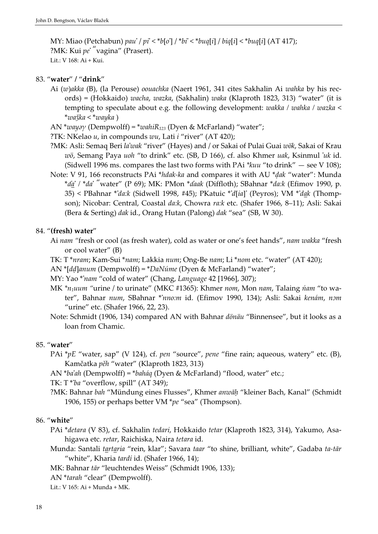MY: Miao (Petchabun) pau' / pi' < \*b[o'] / \*bi' < \*buq[i] / biq[i] < \*buq[i] (AT 417); ?MK: Kui pe' "vagina" (Prasert). Lit.: V 168: Ai + Kui.

#### 83. "water" / "drink"

- Ai (w)akka (B), (la Perouse) oouachka (Naert 1961, 341 cites Sakhalin Ai wahka by his records) = (Hokkaido) wacha, wazka, (Sakhalin) waka (Klaproth 1823, 313) "water" (it is tempting to speculate about e.g. the following development: wakka / wahka / wazka <  $*wa \gtr k a < *wa \qtr k a$ )
- AN \*wayay (Dempwolff) = \*wahi $R_{123}$  (Dyen & McFarland) "water";
- ?TK: NKelao *u*, in compounds *wu*, Lati *i* "river" (AT 420);
- ?MK: Asli: Semaq Beri la'wak "river" (Hayes) and / or Sakai of Pulai Guai wök, Sakai of Krau wö, Semang Paya uoh "to drink" etc. (SB, D 166), cf. also Khmer uak, Ksinmul 'uk id. (Sidwell 1996 ms. compares the last two forms with PAi  $*kuu$  "to drink"  $-$  see V 108);
- Note: V 91, 166 reconstructs PAi \*hdak-ka and compares it with AU \*ḍak "water": Munda  $*$ da' /  $*$ da' "water" (P 69); MK: PMon  $*$ daak (Diffloth); SBahnar  $*$ da:k (Efimov 1990, p. 35) < PBahnar \*'da:k (Sidwell 1998, #45); PKatuic \*'d[ia]' (Peyros); VM \*'dak (Thompson); Nicobar: Central, Coastal da:k, Chowra ra:k etc. (Shafer 1966, 8–11); Asli: Sakai (Bera & Serting) dak id., Orang Hutan (Palong) dak "sea" (SB, W 30).

#### 84. "(fresh) water"

- Ai nam "fresh or cool (as fresh water), cold as water or one's feet hands", nam wakka "fresh or cool water" (B)
- TK: T \*nram; Kam-Sui \*nam; Lakkia num; Ong-Be nam; Li \*nom etc. "water" (AT 420);
- AN \*[dḍ]anum (Dempwolff) = \*DaNúme (Dyen & McFarland) "water";
- MY: Yao \*'nam "cold of water" (Chang, Language 42 [1966], 307);
- MK \*n<sub>1</sub>uum "urine / to urinate" (MKC #1365): Khmer nom, Mon nam, Talaing nam "to water", Bahnar num, SBahnar \*'nno:m id. (Efimov 1990, 134); Asli: Sakai kenám, nom "urine" etc. (Shafer 1966, 22, 23).
- Note: Schmidt (1906, 134) compared AN with Bahnar dönäu "Binnensee", but it looks as a loan from Chamic.

#### 85. "water"

- PAi \*pE "water, sap" (V 124), cf. pen "source", pene "fine rain; aqueous, watery" etc. (B), Kamčatka pěh "water" (Klaproth 1823, 313)
- AN \*ba'ah (Dempwolff) = \*baháq (Dyen & McFarland) "flood, water" etc.;

TK: T \*'ba "overflow, spill" (AT 349);

?MK: Bahnar bah "Mündung eines Flusses", Khmer anwāḥ "kleiner Bach, Kanal" (Schmidt 1906, 155) or perhaps better VM  $*pe$  "sea" (Thompson).

#### 86. "white"

- PAi \*detara (V 83), cf. Sakhalin tedari, Hokkaido tetar (Klaproth 1823, 314), Yakumo, Asahigawa etc. retar, Raichiska, Naira tetara id.
- Munda: Santali tartaria "rein, klar"; Savara taar "to shine, brilliant, white", Gadaba ta-tār "white", Kharia tardí id. (Shafer 1966, 14);
- MK: Bahnar tār "leuchtendes Weiss" (Schmidt 1906, 133);
- AN \*tarah "clear" (Dempwolff).
- Lit.: V 165: Ai + Munda + MK.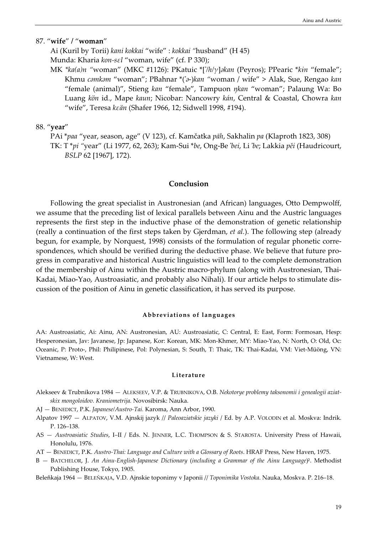#### 87. "wife" / "woman"

Ai (Kuril by Torii) kani kokkai "wife" : kokkai "husband" (H 45) Munda: Kharia kon-sεl "woman, wife" (cf. P 330);

MK \* $ka(a)n$  "woman" (MKC #1126): PKatuic \*['/h/ $\gamma$ ]akan (Peyros); PPearic \* $kin$  "female"; Khmu camkam "woman"; PBahnar \*('a-)kan "woman / wife" > Alak, Sue, Rengao kan "female (animal)", Stieng kan "female", Tampuon ŋkan "woman"; Palaung Wa: Bo Luang kön id., Mape kaun; Nicobar: Nancowry kán, Central & Coastal, Chowra kan "wife", Teresa kεän (Shafer 1966, 12; Sidwell 1998, #194).

#### 88. "year"

PAi \*paa "year, season, age" (V 123), cf. Kamčatka pāh, Sakhalin pa (Klaproth 1823, 308) TK: T \*pi "year" (Li 1977, 62, 263); Kam-Sui \*be, Ong-Be 'bei, Li 'be; Lakkia pěi (Haudricourt, BSLP 62 [1967], 172).

## Conclusion

Following the great specialist in Austronesian (and African) languages, Otto Dempwolff, we assume that the preceding list of lexical parallels between Ainu and the Austric languages represents the first step in the inductive phase of the demonstration of genetic relationship (really a continuation of the first steps taken by Gjerdman, et al.). The following step (already begun, for example, by Norquest, 1998) consists of the formulation of regular phonetic correspondences, which should be verified during the deductive phase. We believe that future progress in comparative and historical Austric linguistics will lead to the complete demonstration of the membership of Ainu within the Austric macro-phylum (along with Austronesian, Thai-Kadai, Miao-Yao, Austroasiatic, and probably also Nihali). If our article helps to stimulate discussion of the position of Ainu in genetic classification, it has served its purpose.

#### Abbreviations of languages

AA: Austroasiatic, Ai: Ainu, AN: Austronesian, AU: Austroasiatic, C: Central, E: East, Form: Formosan, Hesp: Hesperonesian, Jav: Javanese, Jp: Japanese, Kor: Korean, MK: Mon-Khmer, MY: Miao-Yao, N: North, O: Old, Oc: Oceanic, P: Proto, Phil: Philipinese, Pol: Polynesian, S: South, T: Thaic, TK: Thai-Kadai, VM: Viet-Müöng, VN: Vietnamese, W: West.

# Literature

- Alekseev & Trubnikova 1984 ALEKSEEV, V.P. & TRUBNIKOVA, O.B. Nekotorye problemy taksonomii i genealogii aziatskix mongoloidov. Kraniometrija. Novosibirsk: Nauka.
- AJ BENEDICT, P.K. Japanese/Austro-Tai. Karoma, Ann Arbor, 1990.
- Alpatov 1997 ALPATOV, V.M. Ajnskij jazyk // Paleoaziatskie jazyki / Ed. by A.P. VOLODIN et al. Moskva: Indrik. P. 126–138.
- AS Austroasiatic Studies, I–II / Eds. N. JENNER, L.C. THOMPSON & S. STAROSTA. University Press of Hawaii, Honolulu, 1976.
- AT BENEDICT, P.K. Austro-Thai: Language and Culture with a Glossary of Roots. HRAF Press, New Haven, 1975.
- B BATCHELOR, J. An Ainu-English-Japanese Dictionary (including a Grammar of the Ainu Language)<sup>2</sup>. Methodist Publishing House, Tokyo, 1905.

Beleňkaja 1964 — BELEŇKAJA, V.D. Ajnskie toponimy v Japonii // Toponimika Vostoka. Nauka, Moskva. P. 216–18.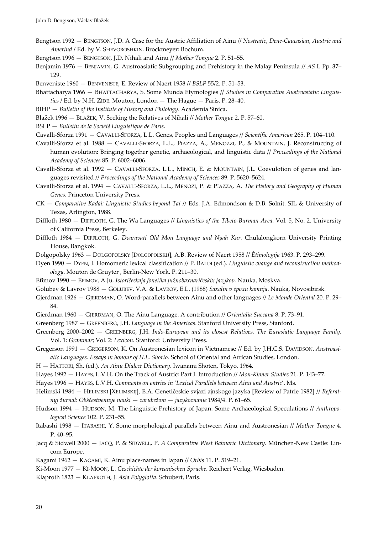- Bengtson 1992 BENGTSON, J.D. A Case for the Austric Affiliation of Ainu // Nostratic, Dene-Caucasian, Austric and Amerind / Ed. by V. SHEVOROSHKIN. Brockmeyer: Bochum.
- Bengtson 1996 BENGTSON, J.D. Nihali and Ainu // Mother Tongue 2. P. 51–55.
- Benjamin 1976 BENJAMIN, G. Austroasiatic Subgrouping and Prehistory in the Malay Peninsula // AS I. Pp. 37– 129.
- Benveniste 1960 BENVENISTE, E. Review of Naert 1958 // BSLP 55/2. P. 51–53.
- Bhattacharya 1966 BHATTACHARYA, S. Some Munda Etymologies // Studies in Comparative Austroasiatic Linguistics / Ed. by N.H. ZIDE. Mouton, London — The Hague — Paris. P. 28–40.
- BIHP Bulletin of the Institute of History and Philology. Academia Sinica.
- Blažek 1996 BLAŽEK, V. Seeking the Relatives of Nihali // Mother Tongue 2. P. 57–60.
- BSLP Bulletin de la Société Linguistique de Paris.

Cavalli-Sforza 1991 — CAVALLI-SFORZA, L.L. Genes, Peoples and Languages // Scientific American 265. P. 104–110.

- Cavalli-Sforza et al. 1988 CAVALLI-SFORZA, L.L., PIAZZA, A., MENOZZI, P., & MOUNTAIN, J. Reconstructing of human evolution: Bringing together genetic, archaeological, and linguistic data // Proceedings of the National Academy of Sciences 85. P. 6002–6006.
- Cavalli-Sforza et al. 1992 CAVALLI-SFORZA, L.L., MINCH, E. & MOUNTAIN, J.L. Coevulotion of genes and languages revisited // Proceedings of the National Academy of Sciences 89. P. 5620–5624.
- Cavalli-Sforza et al. 1994 CAVALLI-SFORZA, L.L., MENOZI, P. & PIAZZA, A. The History and Geography of Human Genes. Princeton University Press.
- CK Comparative Kadai: Linguistic Studies beyond Tai // Eds. J.A. Edmondson & D.B. Solnit. SIL & University of Texas, Arlington, 1988.
- Diffloth 1980 DIFFLOTH, G. The Wa Languages // Linguistics of the Tibeto-Burman Area. Vol. 5, No. 2. University of California Press, Berkeley.
- Diffloth 1984 DIFFLOTH, G. Dvaravati Old Mon Language and Nyah Kur. Chulalongkorn University Printing House, Bangkok.
- Dolgopolsky 1963 DOLGOPOLSKY [DOLGOPOĽSKIJ], A.B. Review of Naert 1958 // Ėtimologija 1963. P. 293–299.
- Dyen 1990 DYEN, I. Homomeric lexical classification // P. BALDI (ed.). Linguistic change and reconstruction methodology. Mouton de Gruyter , Berlin-New York. P. 211–30.
- Efimov 1990 EFIMOV, A.Ju. Istoričeskaja fonetika južnobaxnaričeskix jazykov. Nauka, Moskva.
- Golubev & Lavrov 1988 GOLUBEV, V.A. & LAVROV, E.L. (1988) Saxalin v ėpoxu kamnja. Nauka, Novosibirsk.
- Gjerdman 1926 GJERDMAN, O. Word-parallels between Ainu and other languages // Le Monde Oriental 20. P. 29– 84.
- Gjerdman 1960 GJERDMAN, O. The Ainu Language. A contribution // Orientalia Suecana 8. P. 73–91.
- Greenberg 1987 GREENBERG, J.H. Language in the Americas. Stanford University Press, Stanford.
- Greenberg 2000–2002 GREENBERG, J.H. Indo-European and its closest Relatives. The Eurasiatic Language Family. Vol. 1: Grammar; Vol. 2: Lexicon. Stanford: University Press.
- Gregerson 1991 GREGERSON, K. On Austronesian lexicon in Vietnamese // Ed. by J.H.C.S. DAVIDSON. Austroasiatic Languages. Essays in honour of H.L. Shorto. School of Oriental and African Studies, London.
- H HATTORI, Sh. (ed.). An Ainu Dialect Dictionary. Iwanami Shoten, Tokyo, 1964.

Hayes 1992 — HAYES, L.V.H. On the Track of Austric: Part I. Introduction // Mon-Khmer Studies 21. P. 143–77.

- Hayes 1996 HAYES, L.V.H. Comments on entries in 'Lexical Parallels between Ainu and Austric'. Ms.
- Helimski 1984 HELIMSKI [XELIMSKIJ], E.A. Genetičeskie svjazi ajnskogo jazyka [Review of Patrie 1982] // Referatnyj žurnal: Obščestvennye nauki — zarubežom — jazykoznanie 1984/4. P. 61–65.
- Hudson 1994 HUDSON, M. The Linguistic Prehistory of Japan: Some Archaeological Speculations // Anthropological Science 102. P. 231–55.
- Itabashi 1998 ITABASHI, Y. Some morphological parallels between Ainu and Austronesian // Mother Tongue 4. P. 40–95.
- Jacq & Sidwell 2000 JACQ, P. & SIDWELL, P. A Comparative West Bahnaric Dictionary. München-New Castle: Lincom Europe.
- Kagami 1962 KAGAMI, K. Ainu place-names in Japan // Orbis 11. P. 519–21.
- Ki-Moon 1977 KI-MOON, L. Geschichte der koreanischen Sprache. Reichert Verlag, Wiesbaden.
- Klaproth 1823 KLAPROTH, J. Asia Polyglotta. Schubert, Paris.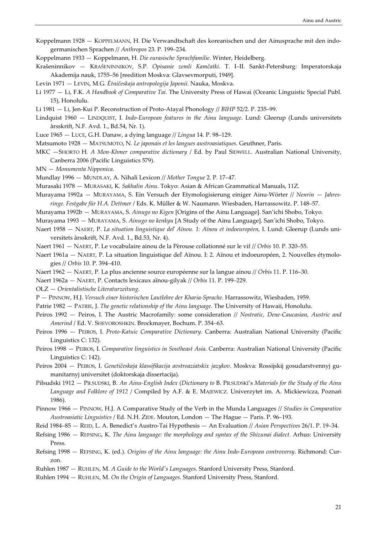- Koppelmann 1928 KOPPELMANN, H. Die Verwandtschaft des koreanischen und der Ainusprache mit den indogermanischen Sprachen // Anthropos 23. P. 199–234.
- Koppelmann 1933 Koppelmann, H. Die eurasische Sprachfamilie. Winter, Heidelberg.
- Krašeninnikov KRAŠENINNIKOV, S.P. Opisanie zemli Kamčatki. T. I–II. Sankt-Petersburg: Imperatorskaja Akademija nauk, 1755–56 [reedition Moskva: Glavsevmorputi, 1949].
- Levin 1971 LEVIN, M.G. Ėtničeskaja antropologija Japonii. Nauka, Moskva.
- Li 1977 LI, F.K. A Handbook of Comparative Tai. The University Press of Hawai (Oceanic Linguistic Special Publ. 15), Honolulu.
- Li 1981 LI, Jen-Kui P. Reconstruction of Proto-Atayal Phonology // BIHP 52/2. P. 235–99.
- Lindquist 1960 LINDQUIST, I. Indo-European features in the Ainu language. Lund: Gleerup (Lunds universitets årsskrift, N.F. Avd. 1., Bd.54, Nr. 1).
- Luce 1965 LUCE, G.H. Danaw, a dying language // Lingua 14. P. 98–129.
- Matsumoto 1928 MATSUMOTO, N. Le japonais et les langues austroasiatiques. Geuthner, Paris.
- MKC -SHORTO H. A Mon-Khmer comparative dictionary / Ed. by Paul SIDWELL. Australian National University, Canberra 2006 (Pacific Linguistics 579).
- MN Monumenta Nipponica.
- Mundlay 1996 MUNDLAY, A. Nihali Lexicon // Mother Tongue 2. P. 17–47.
- Murasaki 1978 MURASAKI, K. Sakhalin Ainu. Tokyo: Asian & African Grammatical Manuals, 11Z.
- Murayama 1992a MURAYAMA, S. Ein Versuch der Etymologisierung einiger Ainu-Wörter // Nenrin Jahresringe. Festgabe für H.A. Dettmer / Eds. K. Müller & W. Naumann. Wiesbaden, Harrassowitz. P. 148–57.
- Murayama 1992b MURAYAMA, S. Ainugo no Kigen [Origins of the Ainu Language]. San'ichi Shobo, Tokyo.
- Murayama 1993 MURAYAMA, S. Ainugo no kenkyu [A Study of the Ainu Language]. San'ichi Shobo, Tokyo.
- Naert 1958 NAERT, P. La situation linguistique deľ Aïnou. 1: Aïnou et indoeuropéen, I. Lund: Gleerup (Lunds universitets årsskrift, N.F. Avd. 1., Bd.53, Nr. 4).
- Naert 1961 NAERT, P. Le vocabulaire ainou de la Pèrouse collationné sur le vif // Orbis 10. P. 320–55.
- Naert 1961a NAERT, P. La situation linguistique deľ Aïnou. I: 2. Aïnou et indoeuropéen, 2. Nouvelles étymologies // Orbis 10. P. 394–410.
- Naert 1962 NAERT, P. La plus ancienne source européenne sur la langue ainou // Orbis 11. P. 116–30.
- Naert 1962a NAERT, P. Contacts lexicaux aïnou-gilyak // Orbis 11. P. 199–229.
- OLZ Orientalistische Literaturzeitung.
- P PINNOW, H.J. Versuch einer historischen Lautlehre der Kharia-Sprache. Harrassowitz, Wiesbaden, 1959.
- Patrie 1982 PATRIE, J. The genetic relationship of the Ainu language. The University of Hawaii, Honolulu.
- Peiros 1992 Peiros, I. The Austric Macrofamily: some consideration // Nostratic, Dene-Caucasian, Austric and Amerind / Ed. V. SHEVOROSHKIN. Brockmayer, Bochum. P. 354–63.
- Peiros 1996 PEIROS, I. Proto-Katuic Comparative Dictionary. Canberra: Australian National University (Pacific Linguistics C: 132).
- Peiros 1998 PEIROS, I. Comparative linguistics in Southeast Asia. Canberra: Australian National University (Pacific Linguistics C: 142).
- Peiros 2004 PEIROS, I. Genetičeskaja klassifikacija avstroaziatskix jazykov. Moskva: Rossijskij gosudarstvennyj gumanitarnyj universitet (doktorskaja dissertacija).
- Piłsudski 1912 PIŁSUDSKI, B. An Ainu-English Index (Dictionary to B. PIŁSUDSKI's Materials for the Study of the Ainu Language and Folklore of 1912 / Compiled by A.F. & E. MAJEWICZ. Univerzytet im. A. Mickiewicza, Poznań 1986).
- Pinnow 1966 PINNOW, H.J. A Comparative Study of the Verb in the Munda Languages // Studies in Comparative Austroasiatic Linguistics / Ed. N.H. ZIDE. Mouton, London — The Hague — Paris. P. 96–193.
- Reid 1984–85 REID, L. A. Benedict's Austro-Tai Hypothesis An Evaluation // Asian Perspectives 26/1. P. 19–34.
- Refsing 1986 REFSING, K. The Ainu language: the morphology and syntax of the Shizunai dialect. Arhus: University Press.
- Refsing 1998 REFSING, K. (ed.). Origins of the Ainu language: the Ainu Indo-European controversy. Richmond: Curzon.
- Ruhlen 1987 RUHLEN, M. A Guide to the World's Languages. Stanford University Press, Stanford.
- Ruhlen 1994 RUHLEN, M. On the Origin of Languages. Stanford University Press, Stanford.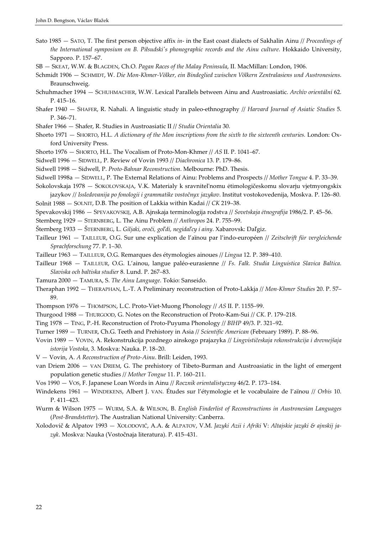- Sato 1985  $-$  SATO, T. The first person objective affix *in* in the East coast dialects of Sakhalin Ainu // *Proceedings of* the International symposium on B. Piłsudski's phonographic records and the Ainu culture. Hokkaido University, Sapporo. P. 157–67.
- SB SKEAT, W.W. & BLAGDEN, Ch.O. Pagan Races of the Malay Peninsula, II. MacMillan: London, 1906.
- Schmidt 1906 SCHMIDT, W. Die Mon-Khmer-Völker, ein Bindeglied zwischen Völkern Zentralasiens und Austronesiens. Braunschweig.
- Schuhmacher 1994 SCHUHMACHER, W.W. Lexical Parallels between Ainu and Austroasiatic. Archív orientální 62. P. 415–16.
- Shafer 1940 SHAFER, R. Nahali. A linguistic study in paleo-ethnography // Harvard Journal of Asiatic Studies 5. P. 346–71.
- Shafer 1966 Shafer, R. Studies in Austroasiatic II // Studia Orientalia 30.
- Shorto 1971 SHORTO, H.L. A dictionary of the Mon inscriptions from the sixth to the sixteenth centuries. London: Oxford University Press.
- Shorto 1976 SHORTO, H.L. The Vocalism of Proto-Mon-Khmer // AS II. P. 1041–67.
- Sidwell 1996 SIDWELL, P. Review of Vovin 1993 // Diachronica 13. P. 179–86.
- Sidwell 1998 Sidwell, P. Proto-Bahnar Reconstruction. Melbourne: PhD. Thesis.
- Sidwell 1998a SIDWELL, P. The External Relations of Ainu: Problems and Prospects // Mother Tongue 4. P. 33–39.
- Sokolovskaja 1978 SOKOLOVSKAJA, V.K. Materialy k sravnitel'nomu ėtimologičeskomu slovarju vjetmyongskix jazykov // Issledovanija po fonologii i grammatike vostočnyx jazykov. Institut vostokovedenija, Moskva. P. 126–80.
- Solnit 1988 SOLNIT, D.B. The position of Lakkia within Kadai // CK 219–38.
- Spevakovskij 1986 SPEVAKOVSKIJ, A.B. Ajnskaja terminologija rodstva // Sovetskaja ėtnografija 1986/2. P. 45–56.

Sternberg 1929 — STERNBERG, L. The Ainu Problem // Anthropos 24. P. 755–99.

- Šternberg 1933 ŠTERNBERG, L. Giljaki, oroči, goľdi, negidaľcy i ainy. Xabarovsk: Daľgiz.
- Tailleur 1961 TAILLEUR, O.G. Sur une explication de l'aïnou par l'indo-européen // Zeitschrift für vergleichende Sprachforschung 77. P. 1–30.
- Tailleur 1963 TAILLEUR, O.G. Remarques des étymologies ainoues // Lingua 12. P. 389–410.
- Tailleur 1968 TAILLEUR, O.G. L'ainou, langue paléo-eurasienne // Fs. Falk. Studia Linguistica Slavica Baltica. Slaviska och baltiska studier 8. Lund. P. 267–83.
- Tamura 2000 TAMURA, S. The Ainu Language. Tokio: Sanseido.
- Theraphan 1992 THERAPHAN, L.-T. A Preliminary reconstruction of Proto-Lakkja // Mon-Khmer Studies 20. P. 57– 89.
- Thompson 1976 THOMPSON, L.C. Proto-Viet-Muong Phonology // AS II. P. 1155–99.
- Thurgood 1988 THURGOOD, G. Notes on the Reconstruction of Proto-Kam-Sui // CK. P. 179–218.
- Ting 1978 TING, P.-H. Reconstruction of Proto-Puyuma Phonology // BIHP 49/3. P. 321–92.
- Turner 1989 TURNER, Ch.G. Teeth and Prehistory in Asia // Scientific American (February 1989). P. 88–96.
- Vovin 1989 VOVIN, A. Rekonstrukcija pozdnego ainskogo prajazyka // Lingvističeskaja rekonstrukcija i drevnejšaja istorija Vostoka, 3. Moskva: Nauka. P. 18–20.
- V Vovin, A. A Reconstruction of Proto-Ainu. Brill: Leiden, 1993.
- van Driem 2006 VAN DRIEM, G. The prehistory of Tibeto-Burman and Austroasiatic in the light of emergent population genetic studies // Mother Tongue 11. P. 160–211.
- Vos 1990 VOS, F. Japanese Loan Words in Ainu // Rocznik orientalistyczny 46/2. P. 173–184.
- Windekens 1961 WINDEKENS, Albert J. VAN. Études sur l'étymologie et le vocabulaire de l'aïnou // Orbis 10. P. 411–423.
- Wurm & Wilson 1975 WURM, S.A. & WILSON, B. English Finderlist of Reconstructions in Austronesian Languages (Post-Brandstetter). The Australian National University: Canberra.
- Xolodovič & Alpatov 1993 XOLODOVIČ, A.A. & ALPATOV, V.M. Jazyki Azii i Afriki V: Altajskie jazyki & ajnskij jazyk. Moskva: Nauka (Vostočnaja literatura). P. 415–431.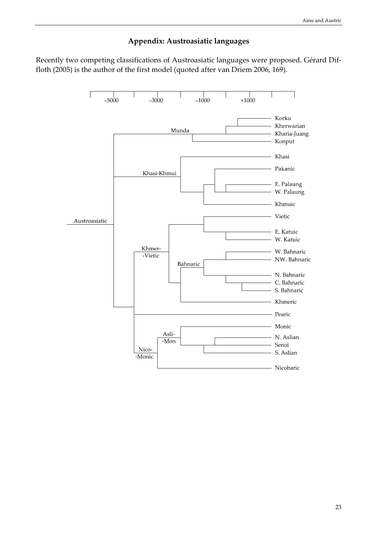## Appendix: Austroasiatic languages

Recently two competing classifications of Austroasiatic languages were proposed. Gérard Diffloth (2005) is the author of the first model (quoted after van Driem 2006, 169).